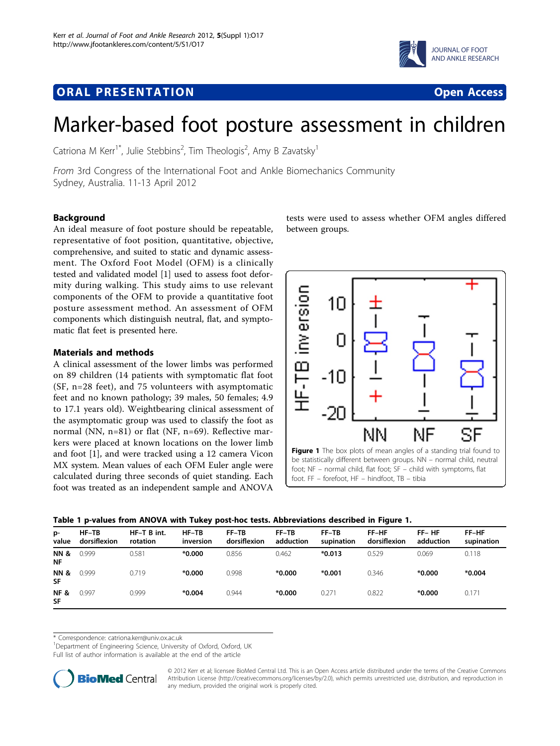## <span id="page-0-0"></span>**ORAL PRESENTATION CONSUMING ACCESS**





# Marker-based foot posture assessment in children

Catriona M Kerr $^{\dagger^*}$ , Julie Stebbins $^2$ , Tim Theologis $^2$ , Amy B Zavatsky $^{\dagger}$ 

From 3rd Congress of the International Foot and Ankle Biomechanics Community Sydney, Australia. 11-13 April 2012

### Background

An ideal measure of foot posture should be repeatable, representative of foot position, quantitative, objective, comprehensive, and suited to static and dynamic assessment. The Oxford Foot Model (OFM) is a clinically tested and validated model [[1\]](#page-2-0) used to assess foot deformity during walking. This study aims to use relevant components of the OFM to provide a quantitative foot posture assessment method. An assessment of OFM components which distinguish neutral, flat, and symptomatic flat feet is presented here.

#### Materials and methods

A clinical assessment of the lower limbs was performed on 89 children (14 patients with symptomatic flat foot (SF, n=28 feet), and 75 volunteers with asymptomatic feet and no known pathology; 39 males, 50 females; 4.9 to 17.1 years old). Weightbearing clinical assessment of the asymptomatic group was used to classify the foot as normal (NN,  $n=81$ ) or flat (NF,  $n=69$ ). Reflective markers were placed at known locations on the lower limb and foot [\[1](#page-2-0)], and were tracked using a 12 camera Vicon MX system. Mean values of each OFM Euler angle were calculated during three seconds of quiet standing. Each foot was treated as an independent sample and ANOVA

tests were used to assess whether OFM angles differed between groups.



|  |  |  |  |  | Table 1 p-values from ANOVA with Tukey post-hoc tests. Abbreviations described in Figure 1. |
|--|--|--|--|--|---------------------------------------------------------------------------------------------|
|--|--|--|--|--|---------------------------------------------------------------------------------------------|

| p-<br>value                  | $HF-TB$<br>dorsiflexion | HF-T B int.<br>rotation | $HF-TB$<br>inversion | $FF-TB$<br>dorsiflexion | FF-TB<br>adduction | $FF-TB$<br>supination | FF-HF<br>dorsiflexion | $FF-HF$<br>adduction | FF-HF<br>supination |
|------------------------------|-------------------------|-------------------------|----------------------|-------------------------|--------------------|-----------------------|-----------------------|----------------------|---------------------|
| <b>NN &amp;</b><br>NF        | 0.999                   | 0.581                   | $*0.000$             | 0.856                   | 0.462              | $*0.013$              | 0.529                 | 0.069                | 0.118               |
| <b>NN &amp;</b><br><b>SF</b> | 0.999                   | 0.719                   | $*0.000$             | 0.998                   | $*0.000$           | $*0.001$              | 0.346                 | $*0.000$             | $*0.004$            |
| <b>NF&amp;</b><br>SF         | 0.997                   | 0.999                   | $*0.004$             | 0.944                   | $*0.000$           | 0.271                 | 0.822                 | $*0.000$             | 0.171               |

\* Correspondence: [catriona.kerr@univ.ox.ac.uk](mailto:catriona.kerr@univ.ox.ac.uk)

<sup>1</sup>Department of Engineering Science, University of Oxford, Oxford, UK

Full list of author information is available at the end of the article



© 2012 Kerr et al; licensee BioMed Central Ltd. This is an Open Access article distributed under the terms of the Creative Commons Attribution License [\(http://creativecommons.org/licenses/by/2.0](http://creativecommons.org/licenses/by/2.0)), which permits unrestricted use, distribution, and reproduction in any medium, provided the original work is properly cited.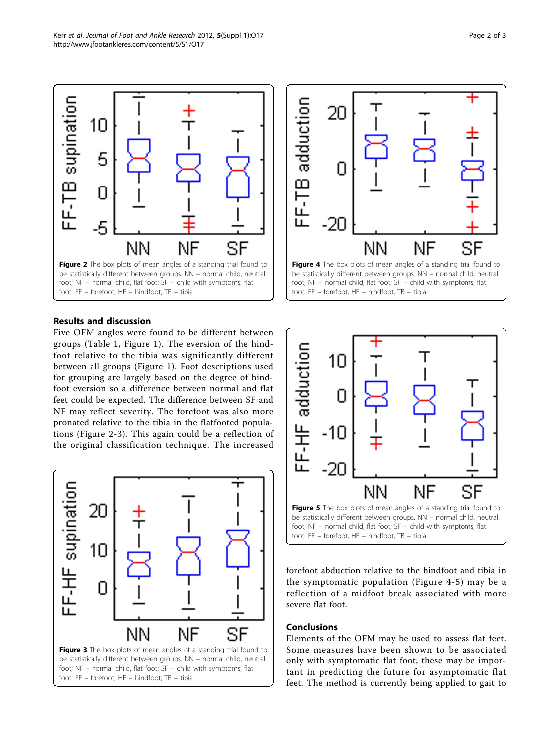



### Results and discussion

Five OFM angles were found to be different between groups (Table [1](#page-0-0), Figure [1](#page-0-0)). The eversion of the hindfoot relative to the tibia was significantly different between all groups (Figure [1](#page-0-0)). Foot descriptions used for grouping are largely based on the degree of hindfoot eversion so a difference between normal and flat feet could be expected. The difference between SF and NF may reflect severity. The forefoot was also more pronated relative to the tibia in the flatfooted populations (Figure 2-3). This again could be a reflection of the original classification technique. The increased





be statistically different between groups. NN – normal child, neutral foot; NF – normal child, flat foot; SF – child with symptoms, flat foot. FF – forefoot, HF – hindfoot, TB – tibia



forefoot abduction relative to the hindfoot and tibia in the symptomatic population (Figure 4-5) may be a reflection of a midfoot break associated with more severe flat foot.

#### Conclusions

Elements of the OFM may be used to assess flat feet. Some measures have been shown to be associated only with symptomatic flat foot; these may be important in predicting the future for asymptomatic flat feet. The method is currently being applied to gait to